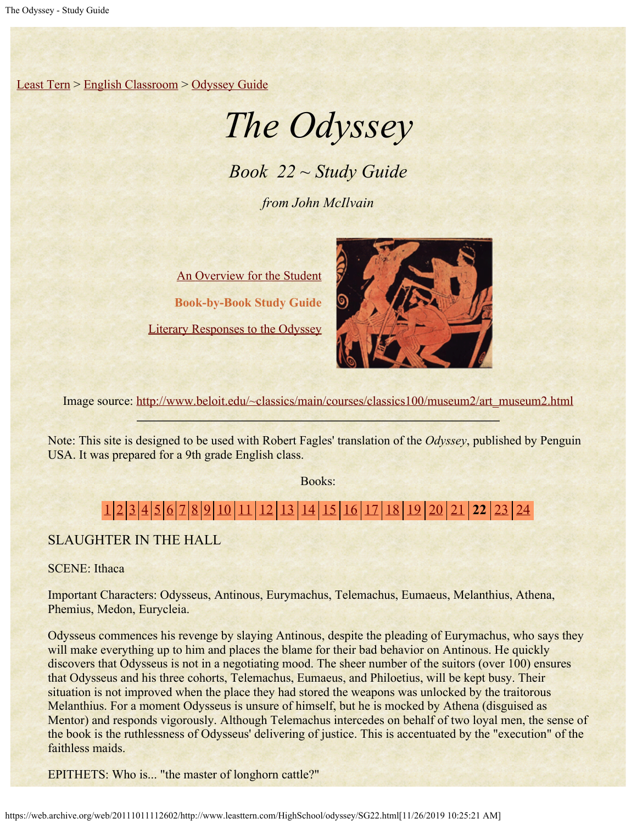[Least Tern](https://web.archive.org/web/20111011112602/http://www.leasttern.com/index.html) > [English Classroom](https://web.archive.org/web/20111011112602/http://www.leasttern.com/Engclass.html) > [Odyssey Guide](https://web.archive.org/web/20111011112602/http://www.leasttern.com/HighSchool/odyssey/Odyssey.html)

# *The Odyssey*

*Book 22 ~ Study Guide*

*from John McIlvain*

[An Overview for the Student](https://web.archive.org/web/20111011112602/http://www.leasttern.com/HighSchool/odyssey/Odyssey1.html) **Book-by-Book Study Guide** [Literary Responses to the Odyssey](https://web.archive.org/web/20111011112602/http://www.leasttern.com/HighSchool/odyssey/Odysseyresponses.html)



Image source: [http://www.beloit.edu/~classics/main/courses/classics100/museum2/art\\_museum2.html](https://web.archive.org/web/20111011112602/http://www.beloit.edu/%7Eclassics/main/courses/classics100/museum2/art_museum2.html)

Note: This site is designed to be used with Robert Fagles' translation of the *Odyssey*, published by Penguin USA. It was prepared for a 9th grade English class.

Books:

## [1](https://web.archive.org/web/20111011112602/http://www.leasttern.com/HighSchool/odyssey/SG1.html) [2](https://web.archive.org/web/20111011112602/http://www.leasttern.com/HighSchool/odyssey/SG2.html) [3](https://web.archive.org/web/20111011112602/http://www.leasttern.com/HighSchool/odyssey/SG3.html) [4](https://web.archive.org/web/20111011112602/http://www.leasttern.com/HighSchool/odyssey/SG4.html) [5](https://web.archive.org/web/20111011112602/http://www.leasttern.com/HighSchool/odyssey/SG5.html) [6](https://web.archive.org/web/20111011112602/http://www.leasttern.com/HighSchool/odyssey/SG6.html) [7](https://web.archive.org/web/20111011112602/http://www.leasttern.com/HighSchool/odyssey/SG7.html) [8](https://web.archive.org/web/20111011112602/http://www.leasttern.com/HighSchool/odyssey/SG8.html) [9](https://web.archive.org/web/20111011112602/http://www.leasttern.com/HighSchool/odyssey/SG9.html) [10](https://web.archive.org/web/20111011112602/http://www.leasttern.com/HighSchool/odyssey/SG10.html) [11](https://web.archive.org/web/20111011112602/http://www.leasttern.com/HighSchool/odyssey/SG11.html) [12](https://web.archive.org/web/20111011112602/http://www.leasttern.com/HighSchool/odyssey/SG12.html) [13](https://web.archive.org/web/20111011112602/http://www.leasttern.com/HighSchool/odyssey/SG13.html) [14](https://web.archive.org/web/20111011112602/http://www.leasttern.com/HighSchool/odyssey/SG14.html) [15](https://web.archive.org/web/20111011112602/http://www.leasttern.com/HighSchool/odyssey/SG15.html) [16](https://web.archive.org/web/20111011112602/http://www.leasttern.com/HighSchool/odyssey/SG16.html) [17](https://web.archive.org/web/20111011112602/http://www.leasttern.com/HighSchool/odyssey/SG17.html) [18](https://web.archive.org/web/20111011112602/http://www.leasttern.com/HighSchool/odyssey/SG18.html) [19](https://web.archive.org/web/20111011112602/http://www.leasttern.com/HighSchool/odyssey/SG19.html) [20](https://web.archive.org/web/20111011112602/http://www.leasttern.com/HighSchool/odyssey/SG20.html) [21](https://web.archive.org/web/20111011112602/http://www.leasttern.com/HighSchool/odyssey/SG21.html) **22** [23](https://web.archive.org/web/20111011112602/http://www.leasttern.com/HighSchool/odyssey/SG23.html) [24](https://web.archive.org/web/20111011112602/http://www.leasttern.com/HighSchool/odyssey/SG24.html)

### SLAUGHTER IN THE HALL

SCENE: Ithaca

Important Characters: Odysseus, Antinous, Eurymachus, Telemachus, Eumaeus, Melanthius, Athena, Phemius, Medon, Eurycleia.

Odysseus commences his revenge by slaying Antinous, despite the pleading of Eurymachus, who says they will make everything up to him and places the blame for their bad behavior on Antinous. He quickly discovers that Odysseus is not in a negotiating mood. The sheer number of the suitors (over 100) ensures that Odysseus and his three cohorts, Telemachus, Eumaeus, and Philoetius, will be kept busy. Their situation is not improved when the place they had stored the weapons was unlocked by the traitorous Melanthius. For a moment Odysseus is unsure of himself, but he is mocked by Athena (disguised as Mentor) and responds vigorously. Although Telemachus intercedes on behalf of two loyal men, the sense of the book is the ruthlessness of Odysseus' delivering of justice. This is accentuated by the "execution" of the faithless maids.

EPITHETS: Who is... "the master of longhorn cattle?"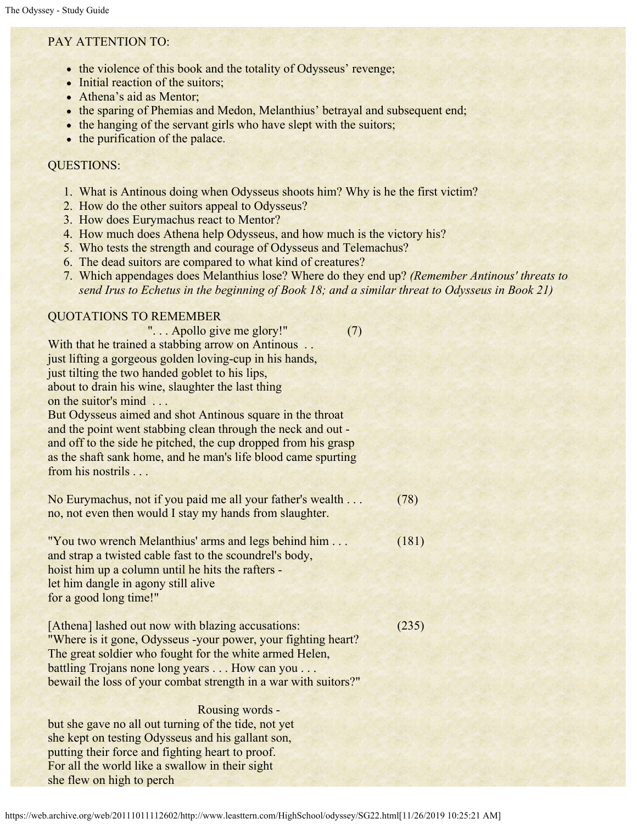#### PAY ATTENTION TO:

- the violence of this book and the totality of Odysseus' revenge;
- Initial reaction of the suitors;
- Athena's aid as Mentor;
- the sparing of Phemias and Medon, Melanthius' betrayal and subsequent end;
- the hanging of the servant girls who have slept with the suitors;
- the purification of the palace.

#### QUESTIONS:

- 1. What is Antinous doing when Odysseus shoots him? Why is he the first victim?
- 2. How do the other suitors appeal to Odysseus?
- 3. How does Eurymachus react to Mentor?
- 4. How much does Athena help Odysseus, and how much is the victory his?
- 5. Who tests the strength and courage of Odysseus and Telemachus?
- 6. The dead suitors are compared to what kind of creatures?
- 7. Which appendages does Melanthius lose? Where do they end up? *(Remember Antinous' threats to send Irus to Echetus in the beginning of Book 18; and a similar threat to Odysseus in Book 21)*

#### QUOTATIONS TO REMEMBER

 ". . . Apollo give me glory!" (7) With that he trained a stabbing arrow on Antinous ... just lifting a gorgeous golden loving-cup in his hands, just tilting the two handed goblet to his lips, about to drain his wine, slaughter the last thing on the suitor's mind . . .

But Odysseus aimed and shot Antinous square in the throat and the point went stabbing clean through the neck and out and off to the side he pitched, the cup dropped from his grasp as the shaft sank home, and he man's life blood came spurting from his nostrils . . .

| No Eurymachus, not if you paid me all your father's wealth | (78) |
|------------------------------------------------------------|------|
| no, not even then would I stay my hands from slaughter.    |      |

"You two wrench Melanthius' arms and legs behind him . . . (181) and strap a twisted cable fast to the scoundrel's body, hoist him up a column until he hits the rafters let him dangle in agony still alive for a good long time!"

[Athena] lashed out now with blazing accusations: (235) "Where is it gone, Odysseus -your power, your fighting heart? The great soldier who fought for the white armed Helen, battling Trojans none long years . . . How can you . . . bewail the loss of your combat strength in a war with suitors?"

 Rousing words but she gave no all out turning of the tide, not yet she kept on testing Odysseus and his gallant son, putting their force and fighting heart to proof. For all the world like a swallow in their sight she flew on high to perch

https://web.archive.org/web/20111011112602/http://www.leasttern.com/HighSchool/odyssey/SG22.html[11/26/2019 10:25:21 AM]